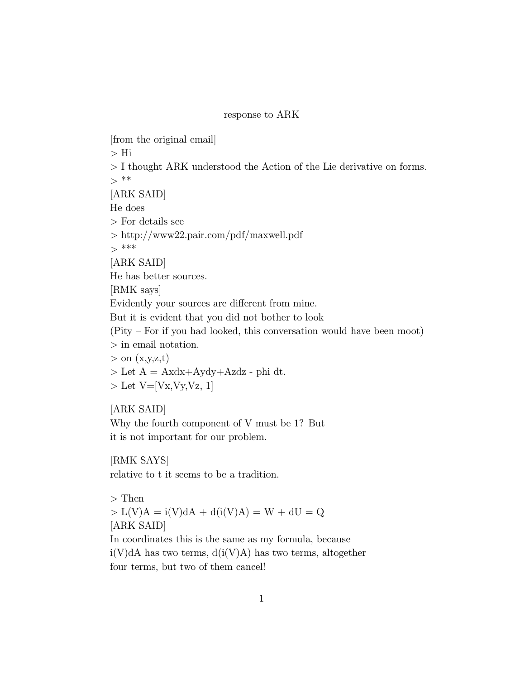## response to ARK

[from the original email] > Hi > I thought ARK understood the Action of the Lie derivative on forms.  $>***$ [ARK SAID] He does > For details see > http://www22.pair.com/pdf/maxwell.pdf  $>***$ [ARK SAID] He has better sources. [RMK says] Evidently your sources are different from mine. But it is evident that you did not bother to look  $(Pity - For if you had looked, this conversation would have been moot)$ > in email notation.  $>$  on  $(x,y,z,t)$  $>$  Let  $A =$  Axdx+Aydy+Azdz - phi dt.  $>$  Let V=[Vx,Vy,Vz, 1]

## [ARK SAID]

Why the fourth component of V must be 1? But it is not important for our problem.

[RMK SAYS] relative to t it seems to be a tradition.

> Then  $> L(V)A = i(V)dA + d(i(V)A) = W + dU = Q$ [ARK SAID] In coordinates this is the same as my formula, because  $i(V)dA$  has two terms,  $d(i(V)A)$  has two terms, altogether four terms, but two of them cancel!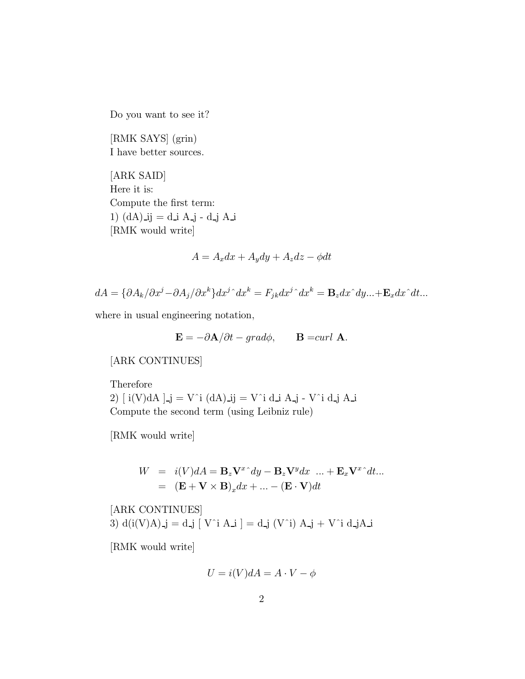Do you want to see it?

[RMK SAYS] (grin) I have better sources.

[ARK SAID] Here it is: Compute the first term: 1)  $(dA)$ -ij = d-i A-j - d-j A-i [RMK would write]

$$
A = A_x dx + A_y dy + A_z dz - \phi dt
$$

$$
dA = \{\partial A_k/\partial x^j - \partial A_j/\partial x^k\}dx^{j\,\hat{}}dx^k = F_{jk}dx^{j\,\hat{}}dx^k = \mathbf{B}_z dx^{\hat{}}dy... + \mathbf{E}_x dx^{\hat{}}dt...
$$

where in usual engineering notation,

$$
\mathbf{E} = -\partial \mathbf{A} / \partial t - grad\phi, \qquad \mathbf{B} = curl \mathbf{A}.
$$

## [ARK CONTINUES]

Therefore 2)  $[i(V)dA]$ \_j = V^i  $(dA)$ \_ij = V^i d\_i A\_j - V^i d\_j A\_i Compute the second term (using Leibniz rule)

[RMK would write]

$$
W = i(V)dA = \mathbf{B}_z \mathbf{V}^x dy - \mathbf{B}_z \mathbf{V}^y dx \dots + \mathbf{E}_x \mathbf{V}^x dx
$$
  
=  $(\mathbf{E} + \mathbf{V} \times \mathbf{B})_x dx + \dots - (\mathbf{E} \cdot \mathbf{V}) dt$ 

[ARK CONTINUES] 3)  $d(i(V)A)$ -j = d-j  $[V^i A_i] = d_i$ j  $(V^i) A_j + V^i d_j A_j$ 

[RMK would write]

$$
U = i(V)dA = A \cdot V - \phi
$$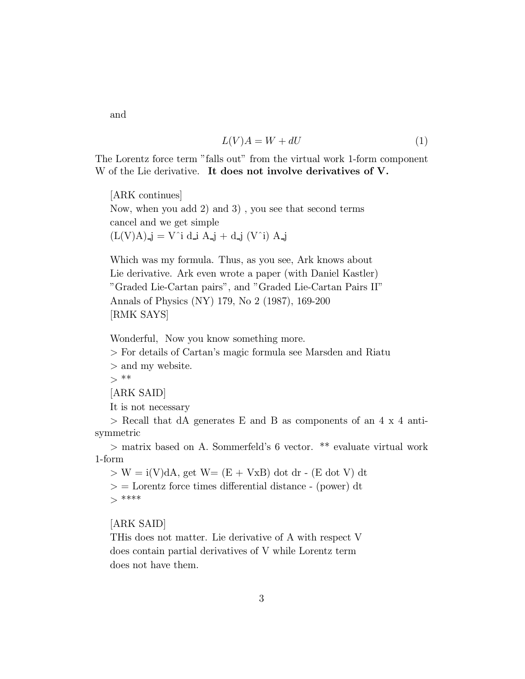and

$$
L(V)A = W + dU \tag{1}
$$

The Lorentz force term "falls out" from the virtual work 1-form component W of the Lie derivative. It does not involve derivatives of V.

[ARK continues] Now, when you add 2) and 3) , you see that second terms cancel and we get simple  $(L(V)A)$ <sub>-j</sub> = V<sup>o</sup>i d<sub>-j</sub> A<sub>-j</sub> + d<sub>-j</sub> (V<sup>o</sup>i) A<sub>-j</sub>

Which was my formula. Thus, as you see, Ark knows about Lie derivative. Ark even wrote a paper (with Daniel Kastler) "Graded Lie-Cartan pairs", and "Graded Lie-Cartan Pairs II" Annals of Physics (NY) 179, No 2 (1987), 169-200 [RMK SAYS]

Wonderful, Now you know something more.

> For details of Cartan's magic formula see Marsden and Riatu

> and my website.

 $>***$ 

[ARK SAID]

It is not necessary

> Recall that dA generates E and B as components of an 4 x 4 antisymmetric

> matrix based on A. Sommerfeld's 6 vector. \*\* evaluate virtual work 1-form

 $> W = i(V)dA$ , get  $W = (E + VxB)$  dot dr - (E dot V) dt  $\geq$  = Lorentz force times differential distance - (power) dt  $>****$ 

[ARK SAID]

THis does not matter. Lie derivative of A with respect V does contain partial derivatives of V while Lorentz term does not have them.